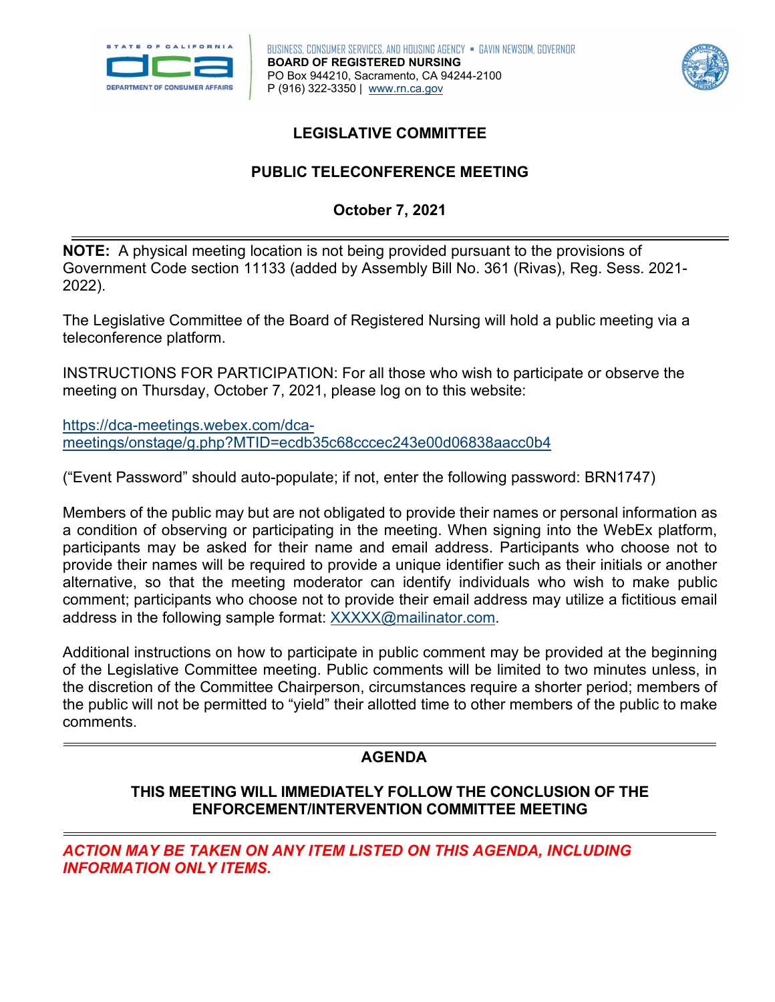



# **LEGISLATIVE COMMITTEE**

# **PUBLIC TELECONFERENCE MEETING October 7, 2021**

 **NOTE:** A physical meeting location is not being provided pursuant to the provisions of Government Code section 11133 (added by Assembly Bill No. 361 (Rivas), Reg. Sess. 2021- 2022).

The Legislative Committee of the Board of Registered Nursing will hold a public meeting via a teleconference platform.

INSTRUCTIONS FOR PARTICIPATION: For all those who wish to participate or observe the meeting on Thursday, October 7, 2021, please log on to this website:

[https://dca-meetings.webex.com/dca](https://dca-meetings.webex.com/dca-meetings/onstage/g.php?MTID=ecdb35c68cccec243e00d06838aacc0b4)[meetings/onstage/g.php?MTID=ecdb35c68cccec243e00d06838aacc0b4](https://dca-meetings.webex.com/dca-meetings/onstage/g.php?MTID=ecdb35c68cccec243e00d06838aacc0b4) 

("Event Password" should auto-populate; if not, enter the following password: BRN1747)

 Members of the public may but are not obligated to provide their names or personal information as a condition of observing or participating in the meeting. When signing into the WebEx platform, provide their names will be required to provide a unique identifier such as their initials or another participants may be asked for their name and email address. Participants who choose not to alternative, so that the meeting moderator can identify individuals who wish to make public comment; participants who choose not to provide their email address may utilize a fictitious email address in the following sample format: [XXXXX@mailinator.com.](mailto:XXXXX@mailinator.com)

Additional instructions on how to participate in public comment may be provided at the beginning of the Legislative Committee meeting. Public comments will be limited to two minutes unless, in the discretion of the Committee Chairperson, circumstances require a shorter period; members of the public will not be permitted to "yield" their allotted time to other members of the public to make comments.

## **AGENDA**

## **THIS MEETING WILL IMMEDIATELY FOLLOW THE CONCLUSION OF THE ENFORCEMENT/INTERVENTION COMMITTEE MEETING**

*ACTION MAY BE TAKEN ON ANY ITEM LISTED ON THIS AGENDA, INCLUDING INFORMATION ONLY ITEMS.*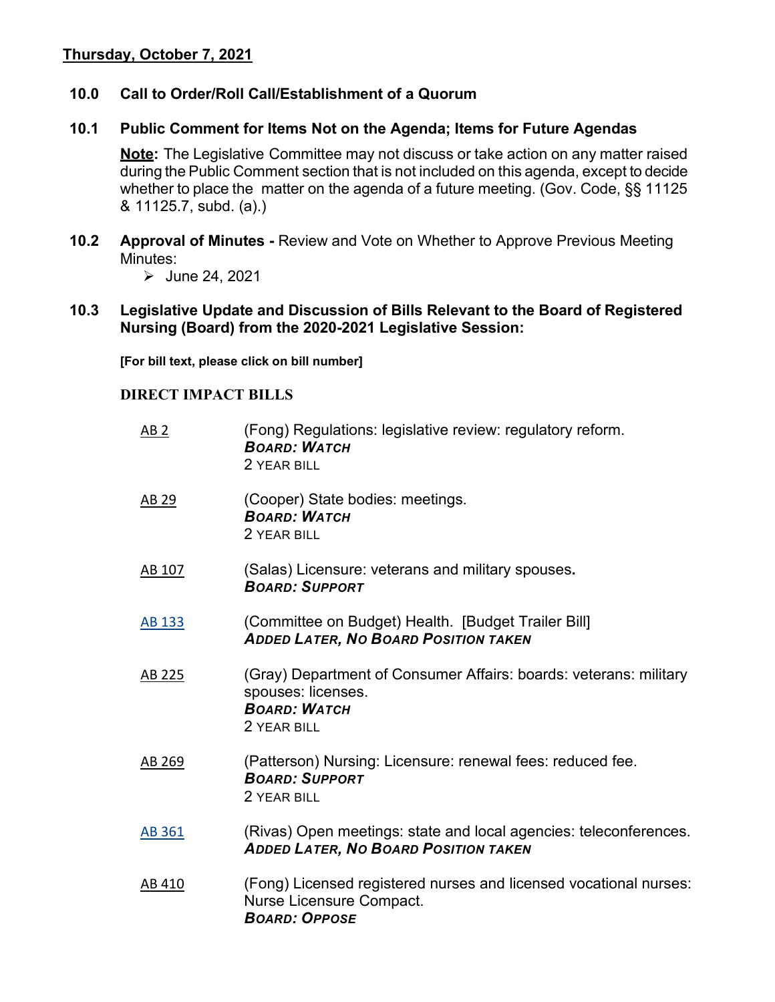## **Thursday, October 7, 2021**

#### **10.0 Call to Order/Roll Call/Establishment of a Quorum**

#### **10.1 Public Comment for Items Not on the Agenda; Items for Future Agendas**

 **Note:** The Legislative Committee may not discuss or take action on any matter raised during the Public Comment section that is not included on this agenda, except to decide whether to place the matter on the agenda of a future meeting. (Gov. Code, §§ 11125 & 11125.7, subd. (a).)

 Minutes: **10.2 Approval of Minutes -** Review and Vote on Whether to Approve Previous Meeting

 $\triangleright$  June 24, 2021

 **Nursing (Board) from the 2020-2021 Legislative Session: 10.3 Legislative Update and Discussion of Bills Relevant to the Board of Registered** 

**[For bill text, please click on bill number]** 

#### **DIRECT IMPACT BILLS**

| AB <sub>2</sub> | (Fong) Regulations: legislative review: regulatory reform.<br><b>BOARD: WATCH</b><br>2 YEAR BILL                              |
|-----------------|-------------------------------------------------------------------------------------------------------------------------------|
| AB 29           | (Cooper) State bodies: meetings.<br><b>BOARD: WATCH</b><br>2 YEAR BILL                                                        |
| AB 107          | (Salas) Licensure: veterans and military spouses.<br><b>BOARD: SUPPORT</b>                                                    |
| AB 133          | (Committee on Budget) Health. [Budget Trailer Bill]<br><b>ADDED LATER, NO BOARD POSITION TAKEN</b>                            |
| AB 225          | (Gray) Department of Consumer Affairs: boards: veterans: military<br>spouses: licenses.<br><b>BOARD: WATCH</b><br>2 YEAR BILL |
| AB 269          | (Patterson) Nursing: Licensure: renewal fees: reduced fee.<br><b>BOARD: SUPPORT</b><br>2 YEAR BILL                            |
| <b>AB 361</b>   | (Rivas) Open meetings: state and local agencies: teleconferences.<br><b>ADDED LATER, NO BOARD POSITION TAKEN</b>              |
| AB 410          | (Fong) Licensed registered nurses and licensed vocational nurses:<br>Nurse Licensure Compact.<br><b>BOARD: OPPOSE</b>         |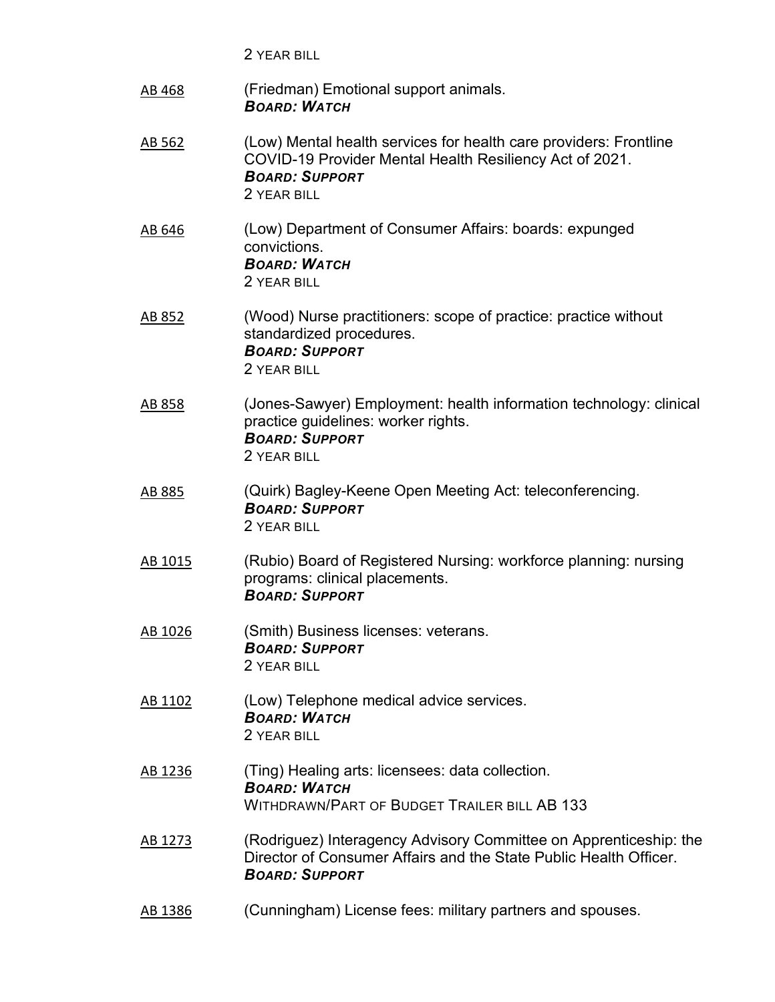2 YEAR BILL

| AB 468  | (Friedman) Emotional support animals.<br><b>BOARD: WATCH</b>                                                                                                         |
|---------|----------------------------------------------------------------------------------------------------------------------------------------------------------------------|
| AB 562  | (Low) Mental health services for health care providers: Frontline<br>COVID-19 Provider Mental Health Resiliency Act of 2021.<br><b>BOARD: SUPPORT</b><br>2 YEAR BILL |
| AB 646  | (Low) Department of Consumer Affairs: boards: expunged<br>convictions.<br><b>BOARD: WATCH</b><br>2 YEAR BILL                                                         |
| AB 852  | (Wood) Nurse practitioners: scope of practice: practice without<br>standardized procedures.<br><b>BOARD: SUPPORT</b><br>2 YEAR BILL                                  |
| AB 858  | (Jones-Sawyer) Employment: health information technology: clinical<br>practice guidelines: worker rights.<br><b>BOARD: SUPPORT</b><br>2 YEAR BILL                    |
| AB 885  | (Quirk) Bagley-Keene Open Meeting Act: teleconferencing.<br><b>BOARD: SUPPORT</b><br>2 YEAR BILL                                                                     |
| AB 1015 | (Rubio) Board of Registered Nursing: workforce planning: nursing<br>programs: clinical placements.<br><b>BOARD: SUPPORT</b>                                          |
| AB 1026 | (Smith) Business licenses: veterans.<br><b>BOARD: SUPPORT</b><br>2 YEAR BILL                                                                                         |
| AB 1102 | (Low) Telephone medical advice services.<br><b>BOARD: WATCH</b><br>2 YEAR BILL                                                                                       |
| AB 1236 | (Ting) Healing arts: licensees: data collection.<br><b>BOARD: WATCH</b><br><b>WITHDRAWN/PART OF BUDGET TRAILER BILL AB 133</b>                                       |
| AB 1273 | (Rodriguez) Interagency Advisory Committee on Apprenticeship: the<br>Director of Consumer Affairs and the State Public Health Officer.<br><b>BOARD: SUPPORT</b>      |
| AB 1386 | (Cunningham) License fees: military partners and spouses.                                                                                                            |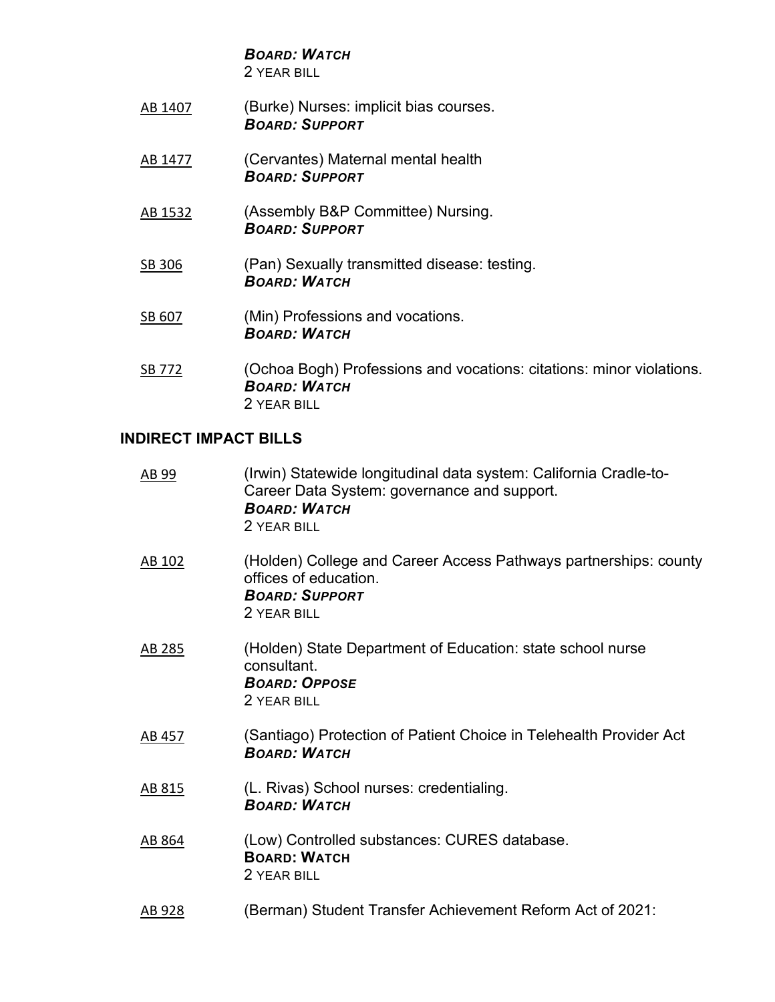*BOARD: WATCH* 

2 YEAR BILL

- [AB 1407](https://leginfo.legislature.ca.gov/faces/billNavClient.xhtml?bill_id=202120220AB1407) (Burke) Nurses: implicit bias courses. *BOARD: SUPPORT*
- [AB 1477](https://leginfo.legislature.ca.gov/faces/billNavClient.xhtml?bill_id=202120220AB1477) (Cervantes) Maternal mental health *BOARD: SUPPORT*
- [AB 1532](https://leginfo.legislature.ca.gov/faces/billTextClient.xhtml?bill_id=202120220AB1532&search_keywords=nurse%2C+nursing) (Assembly B&P Committee) Nursing. *BOARD: SUPPORT*
- [SB 306](https://leginfo.legislature.ca.gov/faces/billNavClient.xhtml?bill_id=202120220SB306) (Pan) Sexually transmitted disease: testing. *BOARD: WATCH*
- [SB 607](https://leginfo.legislature.ca.gov/faces/billNavClient.xhtml?bill_id=202120220SB607&firstNav=tracking) (Min) Professions and vocations. *BOARD: WATCH*
- [SB 772](https://leginfo.legislature.ca.gov/faces/billNavClient.xhtml?bill_id=202120220SB772) (Ochoa Bogh) Professions and vocations: citations: minor violations. *BOARD: WATCH*  2 YEAR BILL

#### **INDIRECT IMPACT BILLS**

| <u>AB 99</u> | (Irwin) Statewide longitudinal data system: California Cradle-to-<br>Career Data System: governance and support.<br><b>BOARD: WATCH</b><br>2 YEAR BILL |
|--------------|--------------------------------------------------------------------------------------------------------------------------------------------------------|
| AB 102       | (Holden) College and Career Access Pathways partnerships: county<br>offices of education.<br><b>BOARD: SUPPORT</b><br>2 YEAR BILL                      |
| AB 285       | (Holden) State Department of Education: state school nurse<br>consultant.<br><b>BOARD: OPPOSE</b><br>2 YEAR BILL                                       |
| AB 457       | (Santiago) Protection of Patient Choice in Telehealth Provider Act<br><b>BOARD: WATCH</b>                                                              |
| AB 815       | (L. Rivas) School nurses: credentialing.<br><b>BOARD: WATCH</b>                                                                                        |
| AB 864       | (Low) Controlled substances: CURES database.<br><b>BOARD: WATCH</b><br>2 YEAR BILL                                                                     |
| AB 928       | (Berman) Student Transfer Achievement Reform Act of 2021:                                                                                              |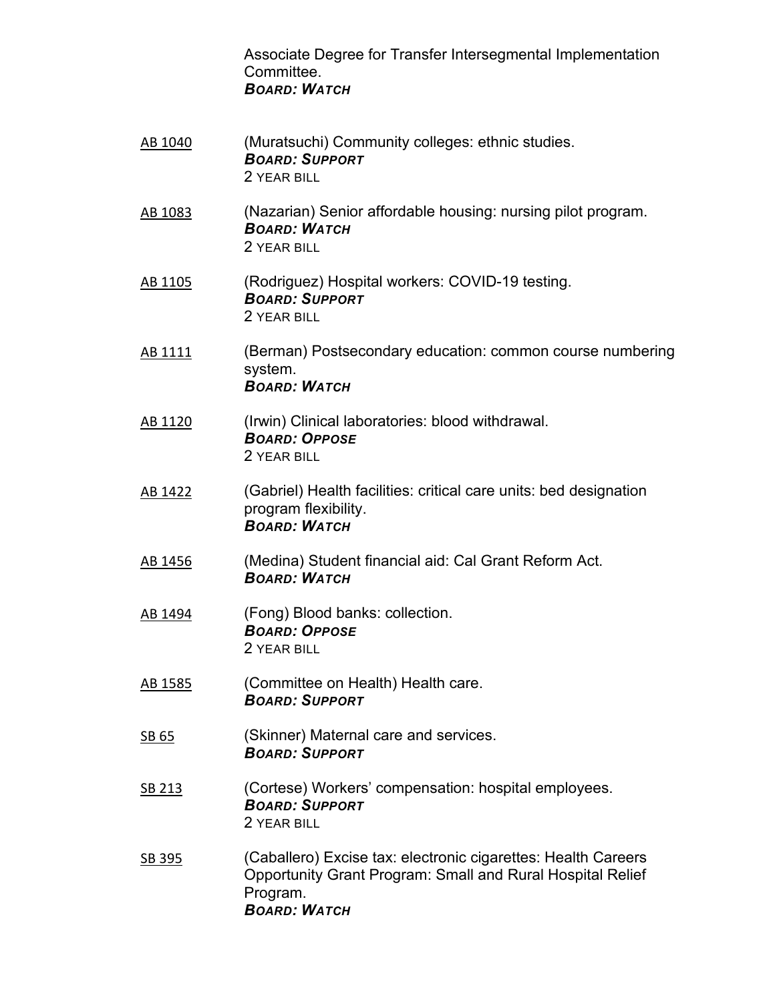Associate Degree for Transfer Intersegmental Implementation **Committee** *BOARD: WATCH* 

- [AB 1040](https://leginfo.legislature.ca.gov/faces/billNavClient.xhtml?bill_id=202120220AB1040) (Muratsuchi) Community colleges: ethnic studies. *BOARD: SUPPORT*  2 YEAR BILL
- [AB 1083](https://leginfo.legislature.ca.gov/faces/billNavClient.xhtml?bill_id=202120220AB1083) (Nazarian) Senior affordable housing: nursing pilot program. *BOARD: WATCH*  2 YEAR BILL
- [AB 1105](https://leginfo.legislature.ca.gov/faces/billNavClient.xhtml?bill_id=202120220AB1105&firstNav=tracking) (Rodriguez) Hospital workers: COVID-19 testing. *BOARD: SUPPORT*  2 YEAR BILL
- [AB 1111](https://leginfo.legislature.ca.gov/faces/billNavClient.xhtml?bill_id=202120220AB1111) (Berman) Postsecondary education: common course numbering system. *BOARD: WATCH*
- [AB 1120](https://leginfo.legislature.ca.gov/faces/billNavClient.xhtml?bill_id=202120220AB1120) (Irwin) Clinical laboratories: blood withdrawal. *BOARD: OPPOSE*  2 YEAR BILL
- [AB 1422](https://leginfo.legislature.ca.gov/faces/billNavClient.xhtml?bill_id=202120220AB1422&firstNav=tracking) (Gabriel) Health facilities: critical care units: bed designation program flexibility. *BOARD: WATCH*
- [AB 1456](https://leginfo.legislature.ca.gov/faces/billNavClient.xhtml?bill_id=202120220AB1456) (Medina) Student financial aid: Cal Grant Reform Act. *BOARD: WATCH*
- [AB 1494](https://leginfo.legislature.ca.gov/faces/billNavClient.xhtml?bill_id=202120220AB1494)  (Fong) Blood banks: collection. *BOARD: OPPOSE*  2 YEAR BILL
- [AB 1585](https://leginfo.legislature.ca.gov/faces/billNavClient.xhtml?bill_id=202120220AB1585) (Committee on Health) Health care. *BOARD: SUPPORT*
- [SB 65](https://leginfo.legislature.ca.gov/faces/billNavClient.xhtml?bill_id=202120220SB65) (Skinner) Maternal care and services. *BOARD: SUPPORT*
- [SB 213](http://leginfo.legislature.ca.gov/faces/billNavClient.xhtml?bill_id=202120220SB213&firstNav=tracking) (Cortese) Workers' compensation: hospital employees. *BOARD: SUPPORT*  2 YEAR BILL
- [SB 395](https://leginfo.legislature.ca.gov/faces/billNavClient.xhtml?bill_id=202120220SB395) (Caballero) Excise tax: electronic cigarettes: Health Careers Opportunity Grant Program: Small and Rural Hospital Relief Program. *BOARD: WATCH*